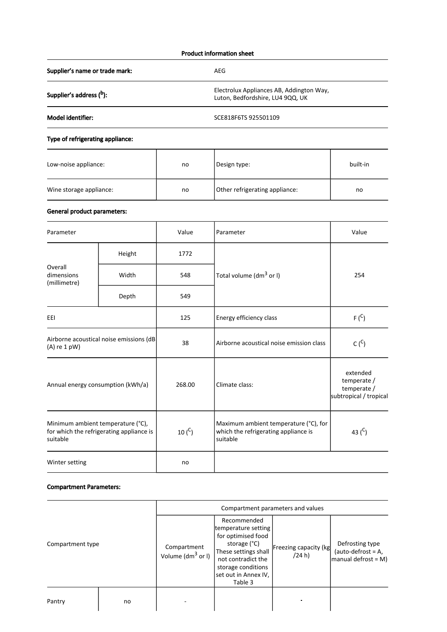## Product information sheet

Supplier's name or trade mark: AEG

Supplier's address (b):

Electrolux Appliances AB, Addington Way,

Luton, Bedfordshire, LU4 9QQ, UK

Model identifier: SCE818F6TS 925501109

# Type of refrigerating appliance:

| Low-noise appliance:    | no | Design type:                   | built-in |
|-------------------------|----|--------------------------------|----------|
| Wine storage appliance: | no | Other refrigerating appliance: | no       |

## General product parameters:

| Parameter                                                                                 |        | Value       | Parameter                                                                                 | Value     |
|-------------------------------------------------------------------------------------------|--------|-------------|-------------------------------------------------------------------------------------------|-----------|
| Overall<br>dimensions<br>(millimetre)                                                     | Height | 1772        |                                                                                           | 254       |
|                                                                                           | Width  | 548         | Total volume (dm <sup>3</sup> or I)                                                       |           |
|                                                                                           | Depth  | 549         |                                                                                           |           |
| EEI                                                                                       |        | 125         | Energy efficiency class                                                                   | $F(^{C})$ |
| Airborne acoustical noise emissions (dB<br>$(A)$ re 1 pW)                                 |        | 38          | Airborne acoustical noise emission class                                                  | $C(^{C})$ |
| Annual energy consumption (kWh/a)                                                         |        | 268.00      | extended<br>temperate /<br>Climate class:<br>temperate /<br>subtropical / tropical        |           |
| Minimum ambient temperature (°C),<br>for which the refrigerating appliance is<br>suitable |        | 10 $(^{C})$ | Maximum ambient temperature (°C), for<br>which the refrigerating appliance is<br>suitable | 43 $(C)$  |
| Winter setting                                                                            |        | no          |                                                                                           |           |

### Compartment Parameters:

|                  |    | Compartment parameters and values    |                                                                                                                                                                                 |                                 |                                                                |
|------------------|----|--------------------------------------|---------------------------------------------------------------------------------------------------------------------------------------------------------------------------------|---------------------------------|----------------------------------------------------------------|
| Compartment type |    | Compartment<br>Volume ( $dm^3$ or I) | Recommended<br>temperature setting<br>for optimised food<br>storage (°C)<br>These settings shall<br>not contradict the<br>storage conditions<br>set out in Annex IV,<br>Table 3 | Freezing capacity (kg<br>(24 h) | Defrosting type<br>$(auto-defrost = A,$<br>manual defrost = M) |
| Pantry           | no |                                      |                                                                                                                                                                                 |                                 |                                                                |